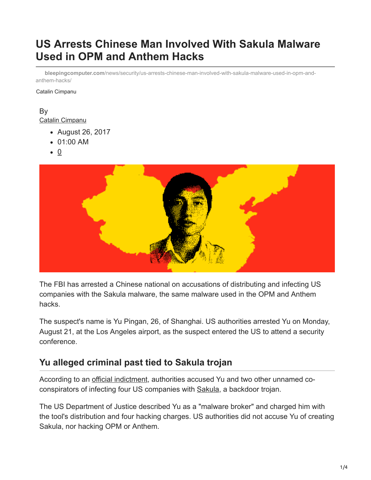# **US Arrests Chinese Man Involved With Sakula Malware Used in OPM and Anthem Hacks**

**bleepingcomputer.com**[/news/security/us-arrests-chinese-man-involved-with-sakula-malware-used-in-opm-and](https://www.bleepingcomputer.com/news/security/us-arrests-chinese-man-involved-with-sakula-malware-used-in-opm-and-anthem-hacks/)anthem-hacks/

Catalin Cimpanu

#### By [Catalin Cimpanu](https://www.bleepingcomputer.com/author/catalin-cimpanu/)

- August 26, 2017
- 01:00 AM
- $\bullet$  0



The FBI has arrested a Chinese national on accusations of distributing and infecting US companies with the Sakula malware, the same malware used in the OPM and Anthem hacks.

The suspect's name is Yu Pingan, 26, of Shanghai. US authorities arrested Yu on Monday, August 21, at the Los Angeles airport, as the suspect entered the US to attend a security conference.

### **Yu alleged criminal past tied to Sakula trojan**

According to an [official indictment,](http://www.documentcloud.org/documents/3963927-Yu-Pingan.html) authorities accused Yu and two other unnamed coconspirators of infecting four US companies with [Sakula,](http://www.symantec.com/content/en/us/enterprise/media/security_response/whitepapers/the-black-vine-cyberespionage-group.pdf) a backdoor trojan.

The US Department of Justice described Yu as a "malware broker" and charged him with the tool's distribution and four hacking charges. US authorities did not accuse Yu of creating Sakula, nor hacking OPM or Anthem.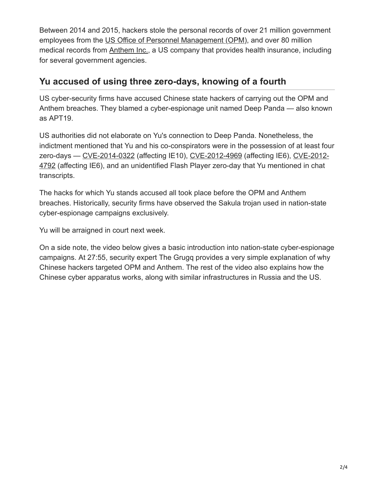Between 2014 and 2015, hackers stole the personal records of over 21 million government employees from the [US Office of Personnel Management \(OPM\)](https://en.wikipedia.org/wiki/Office_of_Personnel_Management_data_breach), and over 80 million medical records from [Anthem Inc.](https://en.wikipedia.org/wiki/Anthem_medical_data_breach), a US company that provides health insurance, including for several government agencies.

## **Yu accused of using three zero-days, knowing of a fourth**

US cyber-security firms have accused Chinese state hackers of carrying out the OPM and Anthem breaches. They blamed a cyber-espionage unit named Deep Panda — also known as APT19.

US authorities did not elaborate on Yu's connection to Deep Panda. Nonetheless, the indictment mentioned that Yu and his co-conspirators were in the possession of at least four [zero-days — CVE-2014-0322 \(affecting IE10\), CVE-2012-4969 \(affecting IE6\), CVE-2012-](http://www.cve.mitre.org/cgi-bin/cvename.cgi?name=cve-2012-4792) 4792 (affecting IE6), and an unidentified Flash Player zero-day that Yu mentioned in chat transcripts.

The hacks for which Yu stands accused all took place before the OPM and Anthem breaches. Historically, security firms have observed the Sakula trojan used in nation-state cyber-espionage campaigns exclusively.

Yu will be arraigned in court next week.

On a side note, the video below gives a basic introduction into nation-state cyber-espionage campaigns. At 27:55, security expert The Grugq provides a very simple explanation of why Chinese hackers targeted OPM and Anthem. The rest of the video also explains how the Chinese cyber apparatus works, along with similar infrastructures in Russia and the US.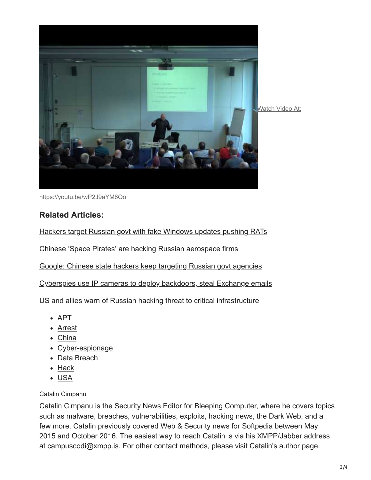

<https://youtu.be/wP2J9aYM6Oo>

#### **Related Articles:**

[Hackers target Russian govt with fake Windows updates pushing RATs](https://www.bleepingcomputer.com/news/security/hackers-target-russian-govt-with-fake-windows-updates-pushing-rats/)

[Chinese 'Space Pirates' are hacking Russian aerospace firms](https://www.bleepingcomputer.com/news/security/chinese-space-pirates-are-hacking-russian-aerospace-firms/)

[Google: Chinese state hackers keep targeting Russian govt agencies](https://www.bleepingcomputer.com/news/security/google-chinese-state-hackers-keep-targeting-russian-govt-agencies/)

[Cyberspies use IP cameras to deploy backdoors, steal Exchange emails](https://www.bleepingcomputer.com/news/security/cyberspies-use-ip-cameras-to-deploy-backdoors-steal-exchange-emails/)

[US and allies warn of Russian hacking threat to critical infrastructure](https://www.bleepingcomputer.com/news/security/us-and-allies-warn-of-russian-hacking-threat-to-critical-infrastructure/)

- [APT](https://www.bleepingcomputer.com/tag/apt/)
- [Arrest](https://www.bleepingcomputer.com/tag/arrest/)
- [China](https://www.bleepingcomputer.com/tag/china/)
- [Cyber-espionage](https://www.bleepingcomputer.com/tag/cyber-espionage/)
- [Data Breach](https://www.bleepingcomputer.com/tag/data-breach/)
- [Hack](https://www.bleepingcomputer.com/tag/hack/)
- [USA](https://www.bleepingcomputer.com/tag/usa/)

#### [Catalin Cimpanu](https://www.bleepingcomputer.com/author/catalin-cimpanu/)

Catalin Cimpanu is the Security News Editor for Bleeping Computer, where he covers topics such as malware, breaches, vulnerabilities, exploits, hacking news, the Dark Web, and a few more. Catalin previously covered Web & Security news for Softpedia between May 2015 and October 2016. The easiest way to reach Catalin is via his XMPP/Jabber address at campuscodi@xmpp.is. For other contact methods, please visit Catalin's author page.